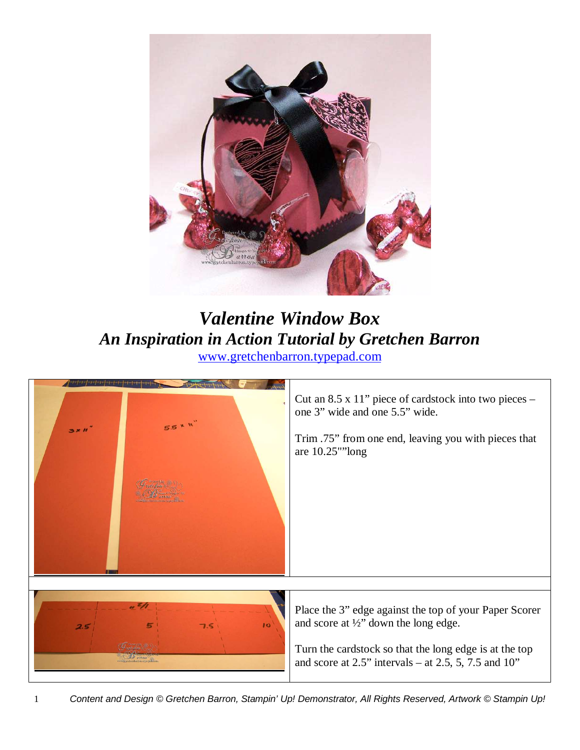

## *Valentine Window Box An Inspiration in Action Tutorial by Gretchen Barron* www.gretchenbarron.typepad.com

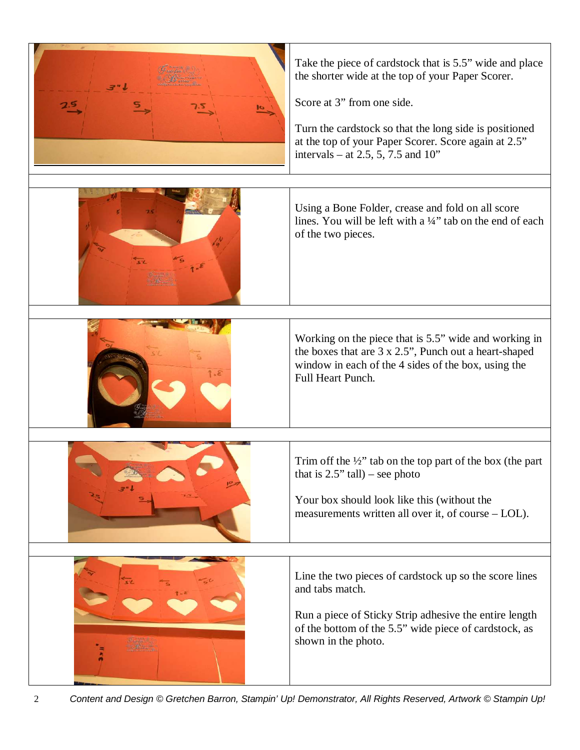| <u>ic</u> | Take the piece of cardstock that is 5.5" wide and place<br>the shorter wide at the top of your Paper Scorer.<br>Score at 3" from one side.<br>Turn the cardstock so that the long side is positioned<br>at the top of your Paper Scorer. Score again at 2.5"<br>intervals – at 2.5, 5, 7.5 and $10$ " |
|-----------|-------------------------------------------------------------------------------------------------------------------------------------------------------------------------------------------------------------------------------------------------------------------------------------------------------|
|           | Using a Bone Folder, crease and fold on all score<br>lines. You will be left with a 1/4" tab on the end of each<br>of the two pieces.                                                                                                                                                                 |
|           | Working on the piece that is 5.5" wide and working in<br>the boxes that are 3 x 2.5", Punch out a heart-shaped<br>window in each of the 4 sides of the box, using the<br>Full Heart Punch.                                                                                                            |
|           | Trim off the $\frac{1}{2}$ " tab on the top part of the box (the part<br>that is $2.5$ " tall) – see photo<br>Your box should look like this (without the<br>measurements written all over it, of course – LOL).                                                                                      |
|           | Line the two pieces of cardstock up so the score lines<br>and tabs match.<br>Run a piece of Sticky Strip adhesive the entire length<br>of the bottom of the 5.5" wide piece of cardstock, as<br>shown in the photo.                                                                                   |

2 Content and Design © Gretchen Barron, Stampin' Up! Demonstrator, All Rights Reserved, Artwork © Stampin Up!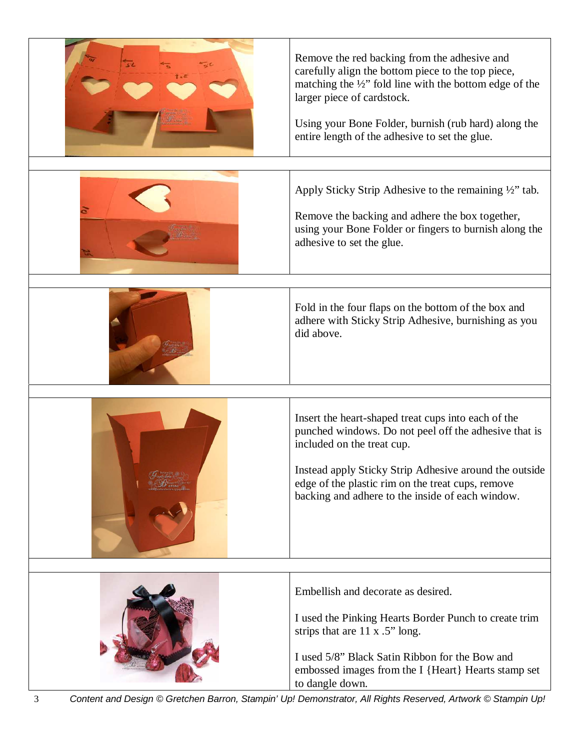| Remove the red backing from the adhesive and<br>carefully align the bottom piece to the top piece,<br>matching the $\frac{1}{2}$ " fold line with the bottom edge of the<br>larger piece of cardstock.<br>Using your Bone Folder, burnish (rub hard) along the<br>entire length of the adhesive to set the glue. |
|------------------------------------------------------------------------------------------------------------------------------------------------------------------------------------------------------------------------------------------------------------------------------------------------------------------|
| Apply Sticky Strip Adhesive to the remaining 1/2" tab.<br>Remove the backing and adhere the box together,<br>using your Bone Folder or fingers to burnish along the<br>adhesive to set the glue.                                                                                                                 |
| Fold in the four flaps on the bottom of the box and<br>adhere with Sticky Strip Adhesive, burnishing as you<br>did above.                                                                                                                                                                                        |
| Insert the heart-shaped treat cups into each of the<br>punched windows. Do not peel off the adhesive that is<br>included on the treat cup.<br>Instead apply Sticky Strip Adhesive around the outside<br>edge of the plastic rim on the treat cups, remove<br>backing and adhere to the inside of each window.    |
| Embellish and decorate as desired.<br>I used the Pinking Hearts Border Punch to create trim<br>strips that are 11 x .5" long.<br>I used 5/8" Black Satin Ribbon for the Bow and<br>embossed images from the I {Heart} Hearts stamp set<br>to dangle down.                                                        |

3 Content and Design © Gretchen Barron, Stampin' Up! Demonstrator, All Rights Reserved, Artwork © Stampin Up!